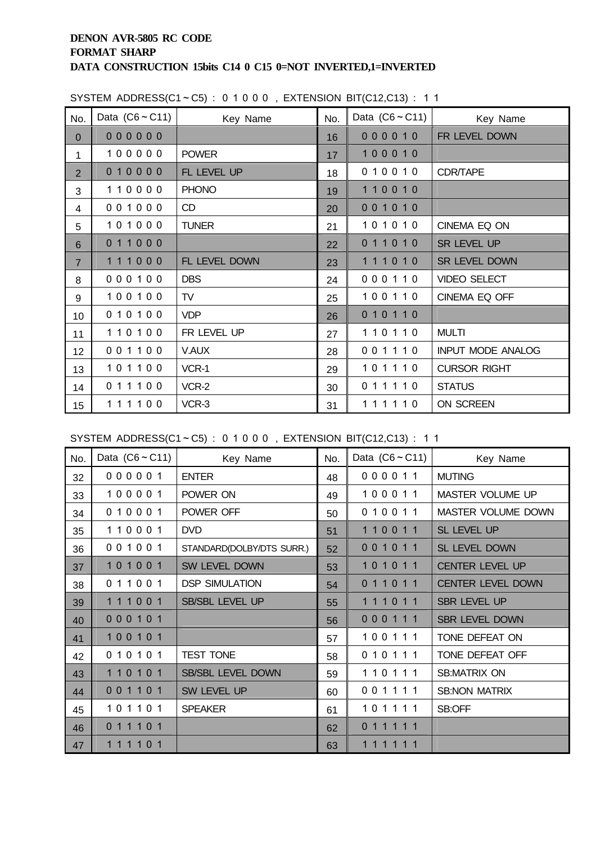| No.            | Data $(C6 \sim C11)$ | Key Name      | No. | Data $(C6 \sim C11)$ | Key Name                 |
|----------------|----------------------|---------------|-----|----------------------|--------------------------|
| $\overline{0}$ | 000000               |               | 16  | 000010               | FR LEVEL DOWN            |
| $\mathbf{1}$   | 100000               | <b>POWER</b>  | 17  | 100010               |                          |
| $\overline{2}$ | 010000               | FL LEVEL UP   | 18  | 010010               | CDR/TAPE                 |
| 3              | 110000               | <b>PHONO</b>  | 19  | 110010               |                          |
| 4              | 001000               | CD            | 20  | 001010               |                          |
| 5              | 101000               | <b>TUNER</b>  | 21  | 101010               | CINEMA EQ ON             |
| 6              | 011000               |               | 22  | 011010               | SR LEVEL UP              |
| $\overline{7}$ | 111000               | FL LEVEL DOWN | 23  | 111010               | SR LEVEL DOWN            |
| 8              | 000100               | <b>DBS</b>    | 24  | 000110               | <b>VIDEO SELECT</b>      |
| 9              | 100100               | TV            | 25  | 100110               | CINEMA EQ OFF            |
| 10             | 010100               | <b>VDP</b>    | 26  | 010110               |                          |
| 11             | 110100               | FR LEVEL UP   | 27  | 110110               | <b>MULTI</b>             |
| 12             | 001100               | V.AUX         | 28  | 001110               | <b>INPUT MODE ANALOG</b> |
| 13             | 101100               | VCR-1         | 29  | 101110               | <b>CURSOR RIGHT</b>      |
| 14             | 011100               | VCR-2         | 30  | 011110               | <b>STATUS</b>            |
| 15             | 111100               | VCR-3         | 31  | 111110               | ON SCREEN                |

SYSTEM ADDRESS(C1~C5):  $0 1 0 0 0$ . EXTENSION BIT(C12,C13): 11

SYSTEM ADDRESS(C1~C5): 0 1 0 0 0, EXTENSION BIT(C12,C13): 1 1

| No. | Data $(C6 \sim C11)$ | Key Name                  | No. | Data $(C6 \sim C11)$ | Key Name                  |
|-----|----------------------|---------------------------|-----|----------------------|---------------------------|
| 32  | 000001               | <b>ENTER</b>              | 48  | 000011               | <b>MUTING</b>             |
| 33  | 100001               | POWER ON                  | 49  | 100011               | MASTER VOLUME UP          |
| 34  | 010001               | POWER OFF                 | 50  | 010011               | <b>MASTER VOLUME DOWN</b> |
| 35  | 110001               | <b>DVD</b>                | 51  | 110011               | <b>SL LEVEL UP</b>        |
| 36  | 001001               | STANDARD(DOLBY/DTS SURR.) | 52  | 001011               | SL LEVEL DOWN             |
| 37  | 101001               | SW LEVEL DOWN             | 53  | 101011               | <b>CENTER LEVEL UP</b>    |
| 38  | 011001               | <b>DSP SIMULATION</b>     | 54  | 011011               | <b>CENTER LEVEL DOWN</b>  |
| 39  | 111001               | <b>SB/SBL LEVEL UP</b>    | 55  | 111011               | SBR LEVEL UP              |
| 40  | 000101               |                           | 56  | 000111               | <b>SBR LEVEL DOWN</b>     |
| 41  | 100101               |                           | 57  | 100111               | TONE DEFEAT ON            |
| 42  | 010101               | <b>TEST TONE</b>          | 58  | 010111               | TONE DEFEAT OFF           |
| 43  | 110101               | SB/SBL LEVEL DOWN         | 59  | 110111               | <b>SB:MATRIX ON</b>       |
| 44  | 001101               | SW LEVEL UP               | 60  | 001111               | <b>SB:NON MATRIX</b>      |
| 45  | 101101               | <b>SPEAKER</b>            | 61  | 101111               | SB:OFF                    |
| 46  | 011101               |                           | 62  | 0 1 1 1 1 1          |                           |
| 47  | 1 1 1 1 0 1          |                           | 63  | 1 1 1 1 1 1          |                           |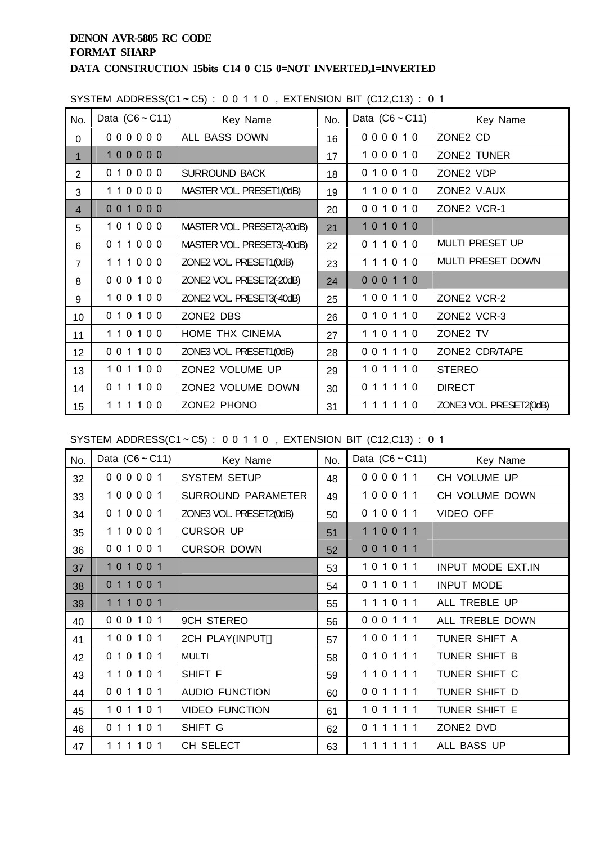| No.            | Data $(C6 \sim C11)$ | Key Name                   | No. | Data $(C6 \sim C11)$ | Key Name                |
|----------------|----------------------|----------------------------|-----|----------------------|-------------------------|
| $\Omega$       | 000000               | ALL BASS DOWN              | 16  | 000010               | ZONE2 CD                |
| $\mathbf 1$    | 100000               |                            | 17  | 100010               | ZONE2 TUNER             |
| $\overline{2}$ | 010000               | <b>SURROUND BACK</b>       | 18  | 010010               | ZONE2 VDP               |
| 3              | 110000               | MASTER VOL. PRESET1(0dB)   | 19  | 110010               | ZONE2 V.AUX             |
| $\overline{4}$ | 001000               |                            | 20  | 001010               | ZONE2 VCR-1             |
| 5              | 101000               | MASTER VOL. PRESET2(-20dB) | 21  | 101010               |                         |
| 6              | 011000               | MASTER VOL. PRESET3(-40dB) | 22  | 011010               | <b>MULTI PRESET UP</b>  |
| $\overline{7}$ | 111000               | ZONE2 VOL. PRESET1(0dB)    | 23  | 111010               | MULTI PRESET DOWN       |
| 8              | 000100               | ZONE2 VOL. PRESET2(-20dB)  | 24  | 000110               |                         |
| 9              | 100100               | ZONE2 VOL PRESET3(-40dB)   | 25  | 100110               | ZONE2 VCR-2             |
| 10             | 010100               | ZONE2 DBS                  | 26  | 010110               | ZONE2 VCR-3             |
| 11             | 110100               | HOME THX CINEMA            | 27  | 110110               | ZONE2 TV                |
| 12             | 001100               | ZONE3 VOL. PRESET1(0dB)    | 28  | 001110               | ZONE2 CDR/TAPE          |
| 13             | 101100               | ZONE2 VOLUME UP            | 29  | 101110               | <b>STEREO</b>           |
| 14             | 011100               | ZONE2 VOLUME DOWN          | 30  | 011110               | <b>DIRECT</b>           |
| 15             | 111100               | ZONE2 PHONO                | 31  | 111110               | ZONE3 VOL. PRESET2(0dB) |

SYSTEM ADDRESS(C1~C5) : 0 0 1 1 0 , EXTENSION BIT (C12,C13) : 0 1

SYSTEM ADDRESS(C1~C5) : 0 0 1 1 0 , EXTENSION BIT (C12,C13) : 0 1

| No. | Data $(C6 \sim C11)$ | Key Name                  | No. | Data $(C6 \sim C11)$ | Key Name          |
|-----|----------------------|---------------------------|-----|----------------------|-------------------|
| 32  | 000001               | <b>SYSTEM SETUP</b>       | 48  | 000011               | CH VOLUME UP      |
| 33  | 100001               | <b>SURROUND PARAMETER</b> | 49  | 100011               | CH VOLUME DOWN    |
| 34  | 010001               | ZONE3 VOL. PRESET2(0dB)   | 50  | 010011               | <b>VIDEO OFF</b>  |
| 35  | 110001               | <b>CURSOR UP</b>          | 51  | 110011               |                   |
| 36  | 001001               | <b>CURSOR DOWN</b>        | 52  | 001011               |                   |
| 37  | 101001               |                           | 53  | 101011               | INPUT MODE EXT.IN |
| 38  | 011001               |                           | 54  | 011011               | <b>INPUT MODE</b> |
| 39  | 111001               |                           | 55  | 111011               | ALL TREBLE UP     |
| 40  | 000101               | <b>9CH STEREO</b>         | 56  | 000111               | ALL TREBLE DOWN   |
| 41  | 100101               | 2CH PLAY(INPUT            | 57  | 100111               | TUNER SHIFT A     |
| 42  | 010101               | <b>MULTI</b>              | 58  | 010111               | TUNER SHIFT B     |
| 43  | 110101               | SHIFT F                   | 59  | 110111               | TUNER SHIFT C     |
| 44  | 001101               | <b>AUDIO FUNCTION</b>     | 60  | 001111               | TUNER SHIFT D     |
| 45  | 101101               | <b>VIDEO FUNCTION</b>     | 61  | 101111               | TUNER SHIFT E     |
| 46  | 011101               | SHIFT G                   | 62  | 011111               | ZONE2 DVD         |
| 47  | 111101               | CH SELECT                 | 63  | 111111               | ALL BASS UP       |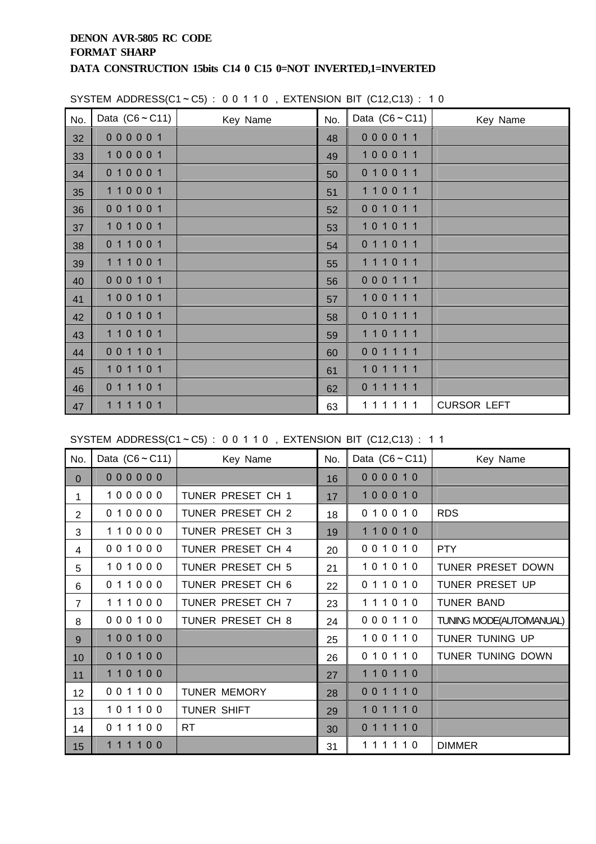| No. | Data $(C6 \sim C11)$ | Key Name | No. | Data $(C6 \sim C11)$ | Key Name           |
|-----|----------------------|----------|-----|----------------------|--------------------|
| 32  | 000001               |          | 48  | 000011               |                    |
| 33  | 100001               |          | 49  | 100011               |                    |
| 34  | 010001               |          | 50  | 010011               |                    |
| 35  | 110001               |          | 51  | 110011               |                    |
| 36  | 001001               |          | 52  | 001011               |                    |
| 37  | 101001               |          | 53  | 101011               |                    |
| 38  | 011001               |          | 54  | 011011               |                    |
| 39  | 111001               |          | 55  | 111011               |                    |
| 40  | 000101               |          | 56  | 000111               |                    |
| 41  | 100101               |          | 57  | 100111               |                    |
| 42  | 010101               |          | 58  | 010111               |                    |
| 43  | 110101               |          | 59  | 110111               |                    |
| 44  | 001101               |          | 60  | 001111               |                    |
| 45  | 101101               |          | 61  | 101111               |                    |
| 46  | 011101               |          | 62  | 011111               |                    |
| 47  | 111101               |          | 63  | 111111               | <b>CURSOR LEFT</b> |

SYSTEM ADDRESS(C1~C5) : 0 0 1 1 0 , EXTENSION BIT (C12,C13) : 1 0

SYSTEM ADDRESS(C1~C5): 00110, EXTENSION BIT (C12,C13): 11

| No.            | Data $(C6 \sim C11)$ | Key Name            | No. | Data $(C6 \sim C11)$ | Key Name                |
|----------------|----------------------|---------------------|-----|----------------------|-------------------------|
| $\mathbf{0}$   | 000000               |                     | 16  | 000010               |                         |
| 1.             | 100000               | TUNER PRESET CH 1   | 17  | 100010               |                         |
| $\overline{2}$ | 010000               | TUNER PRESET CH 2   | 18  | 010010               | <b>RDS</b>              |
| 3              | 110000               | TUNER PRESET CH 3   | 19  | 110010               |                         |
| 4              | 001000               | TUNER PRESET CH 4   | 20  | 001010               | <b>PTY</b>              |
| 5              | 101000               | TUNER PRESET CH 5   | 21  | 101010               | TUNER PRESET DOWN       |
| 6              | 011000               | TUNER PRESET CH 6   | 22  | 011010               | TUNER PRESET UP         |
| $\overline{7}$ | 111000               | TUNER PRESET CH 7   | 23  | 111010               | <b>TUNER BAND</b>       |
| 8              | 000100               | TUNER PRESET CH 8   | 24  | 000110               | TUNING MODE(AUTOMANUAL) |
| 9              | 100100               |                     | 25  | 100110               | TUNER TUNING UP         |
| 10             | 010100               |                     | 26  | 010110               | TUNER TUNING DOWN       |
| 11             | 110100               |                     | 27  | 110110               |                         |
| 12             | 001100               | <b>TUNER MEMORY</b> | 28  | 001110               |                         |
| 13             | 101100               | <b>TUNER SHIFT</b>  | 29  | 101110               |                         |
| 14             | 011100               | <b>RT</b>           | 30  | 011110               |                         |
| 15             | 111100               |                     | 31  | 111110               | <b>DIMMER</b>           |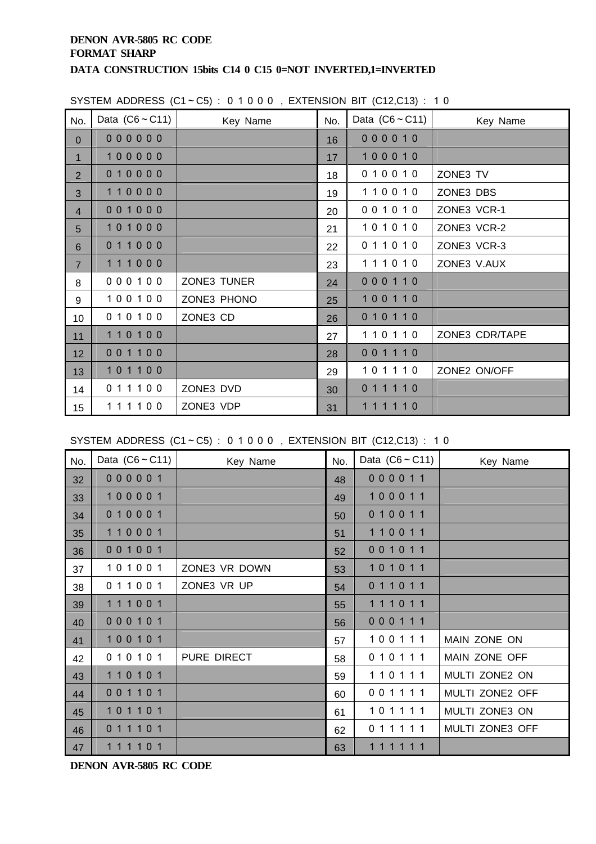| No.            | Data $(C6 \sim C11)$ | Key Name    | No. | Data $(C6 \sim C11)$ | Key Name       |
|----------------|----------------------|-------------|-----|----------------------|----------------|
| $\mathbf{0}$   | 000000               |             | 16  | 000010               |                |
| $\mathbf{1}$   | 100000               |             | 17  | 100010               |                |
| $\overline{2}$ | 010000               |             | 18  | 010010               | ZONE3 TV       |
| 3              | 110000               |             | 19  | 110010               | ZONE3 DBS      |
| $\overline{4}$ | 001000               |             | 20  | 001010               | ZONE3 VCR-1    |
| 5              | 101000               |             | 21  | 101010               | ZONE3 VCR-2    |
| 6              | 011000               |             | 22  | 011010               | ZONE3 VCR-3    |
| $\overline{7}$ | 111000               |             | 23  | 111010               | ZONE3 V.AUX    |
| 8              | 000100               | ZONE3 TUNER | 24  | 000110               |                |
| 9              | 100100               | ZONE3 PHONO | 25  | 100110               |                |
| 10             | 010100               | ZONE3 CD    | 26  | 010110               |                |
| 11             | 110100               |             | 27  | 110110               | ZONE3 CDR/TAPE |
| 12             | 001100               |             | 28  | 001110               |                |
| 13             | 101100               |             | 29  | 101110               | ZONE2 ON/OFF   |
| 14             | 011100               | ZONE3 DVD   | 30  | 011110               |                |
| 15             | 111100               | ZONE3 VDP   | 31  | 111110               |                |

### SYSTEM ADDRESS  $(C1 - C5)$ : 01000, EXTENSION BIT  $(C12.C13)$ : 10

SYSTEM ADDRESS  $(C1 - C5)$ : 01000, EXTENSION BIT  $(C12, C13)$ : 10

| No. | Data $(C6 \sim C11)$ | Key Name      | No. | Data $(C6 \sim C11)$ | Key Name        |
|-----|----------------------|---------------|-----|----------------------|-----------------|
| 32  | 000001               |               | 48  | 000011               |                 |
| 33  | 100001               |               | 49  | 100011               |                 |
| 34  | 010001               |               | 50  | 010011               |                 |
| 35  | 110001               |               | 51  | 110011               |                 |
| 36  | 001001               |               | 52  | 001011               |                 |
| 37  | 101001               | ZONE3 VR DOWN | 53  | 101011               |                 |
| 38  | 011001               | ZONE3 VR UP   | 54  | 011011               |                 |
| 39  | 111001               |               | 55  | 111011               |                 |
| 40  | 000101               |               | 56  | 000111               |                 |
| 41  | 100101               |               | 57  | 100111               | MAIN ZONE ON    |
| 42  | 010101               | PURE DIRECT   | 58  | 010111               | MAIN ZONE OFF   |
| 43  | 110101               |               | 59  | 110111               | MULTI ZONE2 ON  |
| 44  | 001101               |               | 60  | 001111               | MULTI ZONE2 OFF |
| 45  | 101101               |               | 61  | 101111               | MULTI ZONE3 ON  |
| 46  | 011101               |               | 62  | 011111               | MULTI ZONE3 OFF |
| 47  | 111101               |               | 63  | 111111               |                 |

**DENON AVR-5805 RC CODE**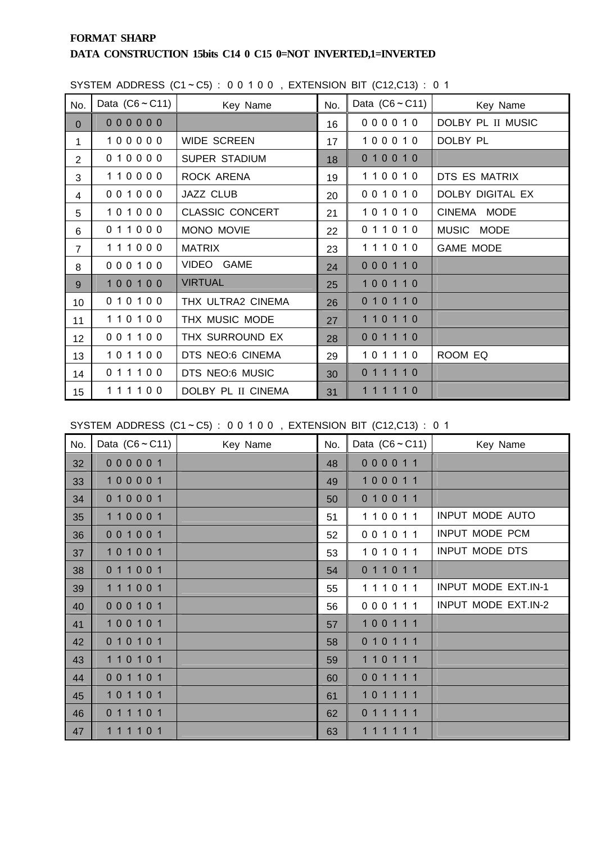# **FORMAT SHARP DATA CONSTRUCTION 15bits C14 0 C15 0=NOT INVERTED,1=INVERTED**

|                 |                      |                        |     | $\frac{1}{2}$        |                   |
|-----------------|----------------------|------------------------|-----|----------------------|-------------------|
| No.             | Data $(C6 \sim C11)$ | Key Name               | No. | Data $(C6 \sim C11)$ | Key Name          |
| $\overline{0}$  | 000000               |                        | 16  | 000010               | DOLBY PL II MUSIC |
| $\mathbf{1}$    | 100000               | WIDE SCREEN            | 17  | 100010               | DOLBY PL          |
| $\overline{2}$  | 010000               | SUPER STADIUM          | 18  | 010010               |                   |
| 3               | 110000               | ROCK ARENA             | 19  | 110010               | DTS ES MATRIX     |
| 4               | 001000               | JAZZ CLUB              | 20  | 001010               | DOLBY DIGITAL EX  |
| 5               | 101000               | <b>CLASSIC CONCERT</b> | 21  | 101010               | CINEMA MODE       |
| 6               | 011000               | MONO MOVIE             | 22  | 011010               | MUSIC MODE        |
| $\overline{7}$  | 111000               | <b>MATRIX</b>          | 23  | 111010               | <b>GAME MODE</b>  |
| 8               | 000100               | VIDEO GAME             | 24  | 000110               |                   |
| 9               | 100100               | <b>VIRTUAL</b>         | 25  | 100110               |                   |
| 10              | 010100               | THX ULTRA2 CINEMA      | 26  | 010110               |                   |
| 11              | 110100               | THX MUSIC MODE         | 27  | 110110               |                   |
| 12 <sub>2</sub> | 001100               | THX SURROUND EX        | 28  | 001110               |                   |
| 13              | 101100               | DTS NEO:6 CINEMA       | 29  | 101110               | ROOM EQ           |
| 14              | 011100               | DTS NEO:6 MUSIC        | 30  | 011110               |                   |
| 15              | 111100               | DOLBY PL II CINEMA     | 31  | 111110               |                   |

SYSTEM ADDRESS  $(C1 \sim C5)$ : 00100. EXTENSION BIT  $(C12.C13)$ : 01

SYSTEM ADDRESS  $(C1 - C5)$ : 00100, EXTENSION BIT  $(C12, C13)$ : 01

| No. | Data $(C6 \sim C11)$ | Key Name | No. | Data $(C6 \sim C11)$ | Key Name                   |
|-----|----------------------|----------|-----|----------------------|----------------------------|
| 32  | 000001               |          | 48  | 000011               |                            |
| 33  | 100001               |          | 49  | 100011               |                            |
| 34  | 010001               |          | 50  | 010011               |                            |
| 35  | 110001               |          | 51  | 110011               | <b>INPUT MODE AUTO</b>     |
| 36  | 001001               |          | 52  | 001011               | <b>INPUT MODE PCM</b>      |
| 37  | 101001               |          | 53  | 101011               | <b>INPUT MODE DTS</b>      |
| 38  | 011001               |          | 54  | 011011               |                            |
| 39  | 111001               |          | 55  | 111011               | <b>INPUT MODE EXT.IN-1</b> |
| 40  | 000101               |          | 56  | 000111               | INPUT MODE EXT.IN-2        |
| 41  | 100101               |          | 57  | 100111               |                            |
| 42  | 010101               |          | 58  | 010111               |                            |
| 43  | 110101               |          | 59  | 110111               |                            |
| 44  | 001101               |          | 60  | 001111               |                            |
| 45  | 101101               |          | 61  | 101111               |                            |
| 46  | 011101               |          | 62  | 011111               |                            |
| 47  | 1 1 1 1 0 1          |          | 63  | 1 1 1 1 1 1          |                            |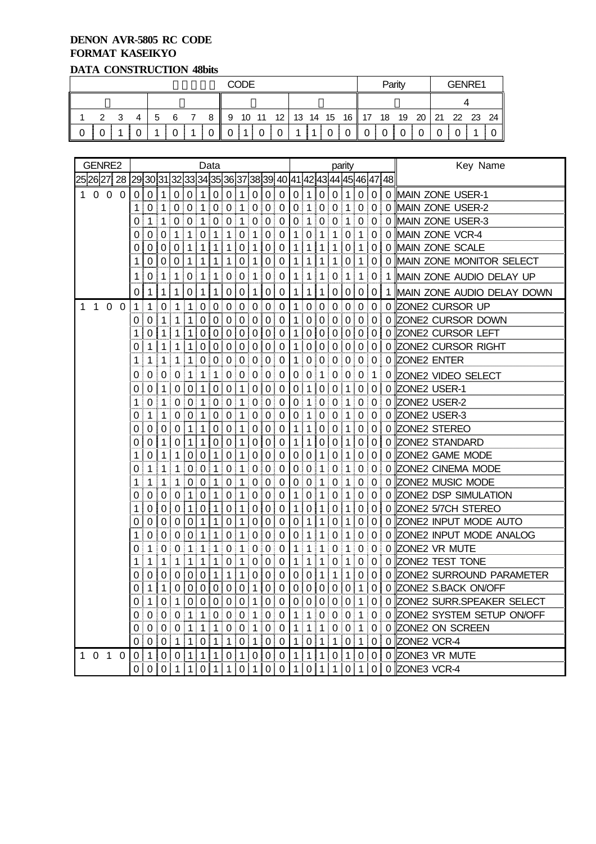#### **DENON AVR-5805 RC CODE FORMAT KASEIKYO DATA CONSTRUCTION 48bits**

| <u>Distin Constante</u> Carolin Roma |  |   |   |     |  |  |    |  |  |                                              |   |          |  |  |  |        |  |  |  |  |
|--------------------------------------|--|---|---|-----|--|--|----|--|--|----------------------------------------------|---|----------|--|--|--|--------|--|--|--|--|
| <b>CODE</b>                          |  |   |   |     |  |  |    |  |  |                                              |   | Parity   |  |  |  | GENRE1 |  |  |  |  |
|                                      |  |   |   |     |  |  |    |  |  |                                              |   |          |  |  |  |        |  |  |  |  |
| $\mathcal{P}$                        |  | 4 | 5 | - 6 |  |  | 89 |  |  | 10 11 12 13 14 15 16 17 18 19 20 21 22 23 24 |   |          |  |  |  |        |  |  |  |  |
|                                      |  |   |   |     |  |  |    |  |  |                                              | 4 | $\Omega$ |  |  |  |        |  |  |  |  |

|             |          | GENRE2     |          |             |                |                |                  |                  |                | Data             |                  |                |                  |                  |                                                               | parity         |                  |                  |                  |                     |                  |             |   | Key Name                   |
|-------------|----------|------------|----------|-------------|----------------|----------------|------------------|------------------|----------------|------------------|------------------|----------------|------------------|------------------|---------------------------------------------------------------|----------------|------------------|------------------|------------------|---------------------|------------------|-------------|---|----------------------------|
| 25 26 27 28 |          |            |          |             |                |                |                  |                  |                |                  |                  |                |                  |                  | 29 30 31 32 33 34 35 36 37 38 39  40 41 42 43 44 45 46 47  48 |                |                  |                  |                  |                     |                  |             |   |                            |
| 1           |          | $0\quad 0$ | $\Omega$ | 0           | $\Omega$       | $\mathbf{1}$   | 0                | 0                | $\mathbf 1$    | $\boldsymbol{0}$ | 0                | $\mathbf 1$    | $\pmb{0}$        | $\overline{0}$   | $\mathbf 0$                                                   | 0              | 1                | 0                | 0                | 1                   | 0                | 0           |   | 0 MAIN ZONE USER-1         |
|             |          |            |          | 1           |                | 0 1            |                  | 0 0              | 1 <sup>1</sup> | 0 <sup>1</sup>   | $\mathbf 0$      | 1 <sup>1</sup> |                  | 0 0              | $\mathbf 0$                                                   | $\overline{0}$ | 1 <sup>1</sup>   | $\overline{0}$   | $\mathbf 0$      | $\mathbf{1}$        |                  | 0 0         |   | 0 MAIN ZONE USER-2         |
|             |          |            |          | 0           | 1              | 1              | 0                | $\Omega$         | 1              | 0                | $\mathbf 0$      | $\mathbf 1$    | 0                | $\pmb{0}$        | 0                                                             | 0              | 1                | $\mathbf 0$      | $\mathbf 0$      | 1                   | $\overline{0}$   | 0           | 0 | MAIN ZONE USER-3           |
|             |          |            |          | 0           | 0              | 0              | 1                | 1                | 0              | $\mathbf{1}$     | 1                | 0              | 1                | $\boldsymbol{0}$ | 0                                                             | 1              | 0                | 1                | 1                | 0                   | 1                | 0           | 0 | MAIN ZONE VCR-4            |
|             |          |            |          | 0           | 0              | 0              | 0                | 1                | 1              | $\mathbf{1}$     | 1                | 0              | 1                | $\boldsymbol{0}$ | 0                                                             | $1 \mid$       | 1                | 1                | 1                | 0                   | 1 <sup>1</sup>   | 0           | 0 | MAIN ZONE SCALE            |
|             |          |            |          | 1           | 0              | 0              | $\Omega$         | 1                | 1              | 1                | 1                | 0              | 1                | 0                | 0                                                             | 1              | 1                | 1                | 1                | 0                   | 1                | 0           | 0 | MAIN ZONE MONITOR SELECT   |
|             |          |            |          | 1           | 0              | 1              | 1                | 0                | 1              | 1                | 0                | 0              | 1                | $\boldsymbol{0}$ | 0                                                             | $\mathbf 1$    | 1                | 1                | 0                | 1                   | 1                | 0           | 1 | MAIN ZONE AUDIO DELAY UP   |
|             |          |            |          | 0           | 1              | 1              | 1                | 0                | 1              | 1                | 0                | 0              | 1                | 0                | $\mathbf 0$                                                   | $\mathbf 1$    | 1                | 1 <sup>1</sup>   | $\pmb{0}$        | 0                   | $\vert 0 \vert$  | 0           | 1 | MAIN ZONE AUDIO DELAY DOWN |
|             | $1 1 0$  |            | $\Omega$ | $\mathbf 1$ | 1              | $\mathbf 0$    | 1                | 1                | $\mathbf 0$    | $\mathbf 0$      | $\mathbf 0$      | $\mathbf 0$    | $\overline{0}$   | $\vert 0$        | $\mathbf 0$                                                   | $\mathbf 1$    | $\boldsymbol{0}$ | $\pmb{0}$        | $\pmb{0}$        | $\mathsf{O}\xspace$ | $\pmb{0}$        | $\pmb{0}$   | 0 | <b>ZONE2 CURSOR UP</b>     |
|             |          |            |          | 0           | $\Omega$       | 1              | 1                | 1 <sup>1</sup>   | $\mathbf 0$    | $\overline{0}$   | l 0              | $\overline{0}$ | 10               | 0                | $\mathbf 0$                                                   | 1 <sup>1</sup> | 0                | $\pmb{0}$        | $\pmb{0}$        | 0                   | 0                | 0           | 0 | ZONE2 CURSOR DOWN          |
|             |          |            |          | 1           | 0              | 1              | 1                | 1                | 0 <sup>1</sup> | $\mathbf 0$      |                  | 0 0            | $\overline{0}$   | 0                | $\pmb{0}$                                                     | 1              | 0                | $\pmb{0}$        | $\mathbf 0$      | 0 <sup>1</sup>      | 0                | $\mathbf 0$ | 0 | ZONE2 CURSOR LEFT          |
|             |          |            |          | 0           | 1              | 1              | 1                | 1                | 0              | 0                | $\boldsymbol{0}$ | $\pmb{0}$      | $\mathbf 0$      | $\pmb{0}$        | $\mathbf 0$                                                   | $\mathbf{1}$   | $\boldsymbol{0}$ | $\mathbf 0$      | $\pmb{0}$        | $\boldsymbol{0}$    | $\boldsymbol{0}$ | $\mathbf 0$ | 0 | ZONE2 CURSOR RIGHT         |
|             |          |            |          | 1           | 1              | 1              | 1                | 1 !              | 0 <sup>1</sup> | 0                | $\boldsymbol{0}$ | $\pmb{0}$      | $\vert 0$        | $\pmb{0}$        | 0                                                             | 1 <sup>1</sup> | 0                | $\pmb{0}$        | $\pmb{0}$        | $\overline{0}$      | 0                | 0           | 0 | <b>ZONE2 ENTER</b>         |
|             |          |            |          | 0           | 0              | 0              | 0                | 1                | 1              | 1                | 0                | 0              | $\boldsymbol{0}$ | $\mathbf 0$      | $\mathbf 0$                                                   | 0              | $\boldsymbol{0}$ | $\mathbf{1}$     | $\boldsymbol{0}$ | 0                   | $\mathbf 0$      | 1           | 0 | ZONE2 VIDEO SELECT         |
|             |          |            |          | 0           | 0              | 1              | $\boldsymbol{0}$ | 0                | $\mathbf{1}$   | $\mathbf 0$      | $\boldsymbol{0}$ | $\mathbf{1}$   | $\boldsymbol{0}$ | $\pmb{0}$        | $\mathbf 0$                                                   | 0              | 1                | $\pmb{0}$        | $\mathbf 0$      | 1                   | $\pmb{0}$        | 0           | 0 | ZONE2 USER-1               |
|             |          |            |          | 1           | $\Omega$       | 1 <sup>1</sup> | $\pmb{0}$        | $\overline{0}$   | $\mathbf{1}$   | $\boldsymbol{0}$ | $\mathbf 0$      | $\mathbf{1}$   | $\pmb{0}$        | $\vert 0$        | $\pmb{0}$                                                     | $\overline{0}$ | 1 <sup>1</sup>   | $\mathbf 0$      | $\pmb{0}$        | 1                   | $\overline{0}$   | 0           | 0 | ZONE2 USER-2               |
|             |          |            |          | 0           | 1              | 1              | 0                | 0                | 1              | 0                | 0                | $\mathbf{1}$   | $\boldsymbol{0}$ | $\pmb{0}$        | $\mathbf 0$                                                   | 0              | 1                | $\pmb{0}$        | $\pmb{0}$        | 1                   | $\mathbf 0$      | 0           | 0 | ZONE2 USER-3               |
|             |          |            |          | 0           | 0              | 0              | 0                | 1                | 1              | 0                | 0                | $\mathbf 1$    | $\boldsymbol{0}$ | $\pmb{0}$        | 0                                                             | 1.             | 1                | $\boldsymbol{0}$ | $\mathbf 0$      | 1                   | $\mathbf 0$      | 0           | 0 | ZONE2 STEREO               |
|             |          |            |          | 0           | 0              | 1              | 0                | 1                | 1              | $\mathbf 0$      | 0                | $\mathbf 1$    | 0                | $\boldsymbol{0}$ | 0                                                             | 1.             | 1                | 0                | 0                | 1                   | $\overline{0}$   | 0           | 0 | <b>ZONE2 STANDARD</b>      |
|             |          |            |          | 1           | 0              | 1              | 1                | 0                | 0              | 1                | 0                | 1              | 0                | 0                | 0                                                             | 0              | 0                | 1                | 0                | 1                   | 0                | 0           | 0 | ZONE2 GAME MODE            |
|             |          |            |          | 0           | 1              | 1              | 1                |                  | 0 0 1          |                  | 0                | 1              | 0                | ! 0              | 0                                                             | 0              | 0                | 1 <sup>1</sup>   | 0                | 1                   | 0 <sup>1</sup>   | 0           | 0 | ZONE2 CINEMA MODE          |
|             |          |            |          | 1           | 1              | 1              | 1                | $\mathbf{0}$     | $\pmb{0}$      | $\mathbf 1$      | 0                | 1              | 0                | $\mathbf 0$      | 0                                                             | 0              | 0                | 1                | $\pmb{0}$        | 1                   | 0                | 0           | 0 | ZONE2 MUSIC MODE           |
|             |          |            |          | 0           | 0              | 0              | 0                | 1                | 0              | $\mathbf{1}$     | 0                | $\mathbf 1$    | $\pmb{0}$        | 0                | 0                                                             | 1              | $\pmb{0}$        | 1                | $\pmb{0}$        | 1                   | 0                | 0           | 0 | ZONE2 DSP SIMULATION       |
|             |          |            |          | 1           | 0              | 0 <sup>1</sup> | 0                | 1!               | 0              | $\mathbf{1}$     | 0                | 1              | 0                | $\pmb{0}$        | 0                                                             | 1              | 0                | 1                | 0                | 1 !                 | $\overline{0}$   | 0           | 0 | ZONE2 5/7CH STEREO         |
|             |          |            |          | 0           | 0              | 0              | $\pmb{0}$        | $\boldsymbol{0}$ | 1              | $\mathbf 1$      | 0                | 1              | $\pmb{0}$        | $\boldsymbol{0}$ | $\mathbf 0$                                                   | 0              | 1                | $\mathbf{1}$     | $\boldsymbol{0}$ | 1                   | 0                | 0           | 0 | ZONE2 INPUT MODE AUTO      |
|             |          |            |          | 1           | 0              | $\mathbf 0$    | $\boldsymbol{0}$ | 0                | $\mathbf 1$    | $\mathbf 1$      | $\boldsymbol{0}$ | 1              | $\boldsymbol{0}$ | $\pmb{0}$        | $\pmb{0}$                                                     | $\pmb{0}$      | 1                | 1                | $\mathbf 0$      | 1                   | $\boldsymbol{0}$ | 0           | 0 | ZONE2 INPUT MODE ANALOG    |
|             |          |            |          | 0           | 1 <sup>1</sup> | 0              | i 0              | ! 1 !            | 1 <sup>1</sup> | $\mathbf{1}$     | $\mathbf 0$      | 1 0            |                  | 0 0              |                                                               | 1 <sup>1</sup> | 1                | 1 <sup>1</sup>   | $\overline{0}$   | 1 <sup>1</sup>      |                  | 0 0         | 0 | ZONE2 VR MUTE              |
|             |          |            |          | 1           | 1              | 1              | 1                | 1                | 1              | 1                | 0                | $\mathbf{1}$   | $\pmb{0}$        | $\pmb{0}$        | $\mathbf 0$                                                   | $\mathbf{1}$   | 1                | $\mathbf{1}$     | $\mathbf 0$      | $\mathbf 1$         | $\mathsf 0$      | 0           | 0 | ZONE2 TEST TONE            |
|             |          |            |          | 0           | $\Omega$ :     | 0 <sup>1</sup> | 0                | 0                | 0 <sup>1</sup> | $\mathbf{1}$     | $\mathbf{1}$     | 1 <sup>1</sup> | $\pmb{0}$        | 0                | $\mathbf 0$                                                   | $\overline{0}$ | 0                | 1 <sup>1</sup>   | $\mathbf 1$      | 1                   | $\overline{0}$   | 0           | 0 | ZONE2 SURROUND PARAMETER   |
|             |          |            |          | 0           | 1              | 1              | 0                | 0                | 0              | 0                | $\pmb{0}$        | $\pmb{0}$      | $\mathbf 1$      | $\boldsymbol{0}$ | $\pmb{0}$                                                     | 0              | 0                | 0                | 0                | 0                   | 1 <sup>1</sup>   | 0           | 0 | ZONE2 S.BACK ON/OFF        |
|             |          |            |          | 0           | 1              | 0              | 1                | 0                | 0              | $\mathbf 0$      | 0                | 0              | 1                | $\mathbf 0$      | 0                                                             | 0              | 0                | $\boldsymbol{0}$ | $\mathbf 0$      | 0                   | 1                | 0           | 0 | ZONE2 SURR.SPEAKER SELECT  |
|             |          |            |          | 0           | 0              | 0              | $\mathbf 0$      | 1                | 1              | 0                | 0                | 0              | 1                | $\mathbf 0$      | 0                                                             | 1              | 1                | 0                | $\mathbf 0$      | 0                   | 1                | 0           | 0 | ZONE2 SYSTEM SETUP ON/OFF  |
|             |          |            |          | 0           | 0              | 0              | 0                | 1                | 1              | 1                | 0                | 0              | 1                | 0                | 0                                                             | 1              | 1                | 1                | 0                | 0                   | 1                | 0           | 0 | ZONE2 ON SCREEN            |
|             |          |            |          | 0           | 0              | 0              | 1                | 1                | 0              | $\mathbf{1}$     | 1                | $\mathbf 0$    | $\mathbf{1}$     | $\mathbf 0$      | $\mathbf 0$                                                   | 1              | $\boldsymbol{0}$ | 1                | 1                | $\pmb{0}$           | $\mathbf 1$      | $\mathbf 0$ | 0 | ZONE2 VCR-4                |
| 1           | $\Omega$ | 1          | 0        | 0           | 1              | 0              | 0                | 1                | 1              | 1                | 0                | 1              | 0                | 0                | 0                                                             | 1              | 1                | 1                | 0                | 1                   | 0                | 0           | 0 | ZONE3 VR MUTE              |
|             |          |            |          | 0           | 0              | 0              | 1                | 1 <sup>1</sup>   | 0              | $\mathbf{1}$     | $\mathbf{1}$     | 0              | $\mathbf 1$      | $\pmb{0}$        | 0                                                             | 1              | $\pmb{0}$        | $\mathbf{1}$     | $\mathbf{1}$     | $\mathbf 0$         | 1                | 0           |   | 0 ZONE3 VCR-4              |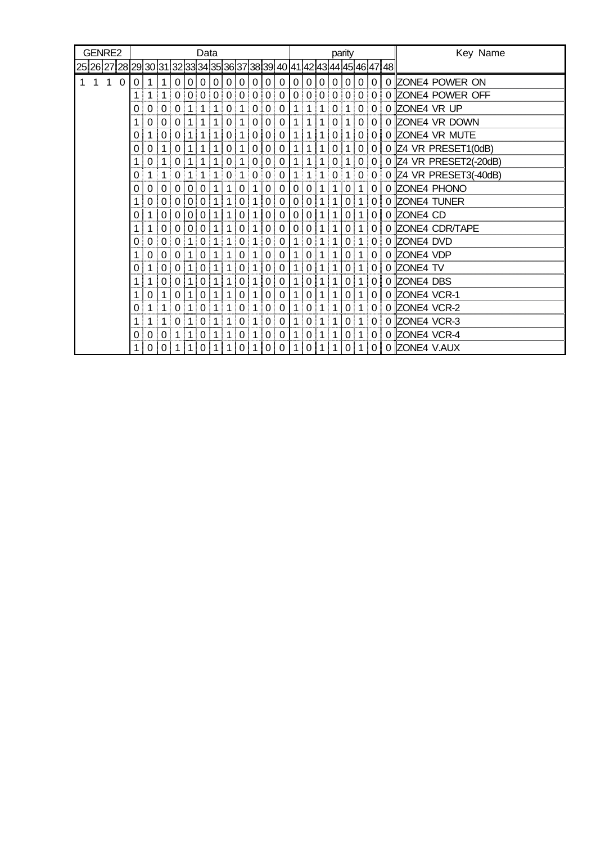| GENRE2                                                                  |          | Data     |                |                |                |                |              |   |                 |                |                    |        |             |                |                |                |                | parity         |                |                | Key Name                      |
|-------------------------------------------------------------------------|----------|----------|----------------|----------------|----------------|----------------|--------------|---|-----------------|----------------|--------------------|--------|-------------|----------------|----------------|----------------|----------------|----------------|----------------|----------------|-------------------------------|
| 25 26 27 28 29 30 31 32 33 34 35 36 37 38 39 40 41 42 43 44 45 46 47 48 |          |          |                |                |                |                |              |   |                 |                |                    |        |             |                |                |                |                |                |                |                |                               |
| 1<br>1<br>1                                                             | $\Omega$ | 0        |                |                | 0 <sup>1</sup> | 0              | 0            | 0 | 0               | 0              | 0                  | 0      | 0           | $\overline{0}$ | $\mathbf{0}$   | $\mathbf{0}$   | $\overline{0}$ | 0              | 0              | 0              | 0 ZONE4 POWER ON              |
|                                                                         |          | 1        | 1 <sup>1</sup> | 1 <sup>1</sup> |                |                |              |   | 0 0 0 0 0 0 0 0 |                |                    |        | $\mathbf 0$ |                | 0 0 0          |                | 0 <sup>1</sup> |                | 0 0 0          |                | 0 ZONE4 POWER OFF             |
|                                                                         |          | 0        | $\Omega$       | 0              |                |                |              |   | 0               |                | 0                  | 0      | 0           |                |                |                | 0              |                | 0              | 0              | 0 ZONE4 VR UP                 |
|                                                                         |          | 1        | 0              | 0              | 0              |                |              |   | 0               |                | 0                  | 0      | 0           |                |                |                |                |                | 0              |                | 0 ZONE4 VR DOWN               |
|                                                                         |          | $\Omega$ |                | $\Omega$       |                |                |              |   | 0 !             |                | 0                  | 0      | 0           |                |                |                | 0              |                | 0 !            | 0              | 0 ZONE4 VR MUTE               |
|                                                                         |          | 0        | 0              |                | 0              |                |              |   | 0               |                | 0                  | 0      | 0           |                |                |                | O              |                | 0              | 0              | $0$ Z4 VR PRESET1(0dB)        |
|                                                                         |          | 1        | $\Omega$       |                | $\Omega$       |                | 1            |   | 0               | 1              | 0                  | 0      | 0           | 1!             | $\mathbf{1}$   | 1 <sup>1</sup> | 0              | 1              |                |                | 0 0 0 Z4 VR PRESET2(-20dB)    |
|                                                                         |          | 0        |                |                |                |                |              |   | 0               |                | $\Omega$<br>÷<br>ŧ | 0      | 0           | 1              | 1 <sup>1</sup> | 1 <sup>1</sup> | $\Omega$       | 1              | - 1            |                | $0 0 0 $ Z4 VR PRESET3(-40dB) |
|                                                                         |          | 0        | 0              |                |                | 0              | 0            |   |                 | 0              |                    | 0      | 0           |                |                |                |                | 0              | 1              | 0              | 0 ZONE4 PHONO                 |
|                                                                         |          | 1        | 0              | 0              | 0 I            | $\Omega$ :     | $\Omega$     |   |                 | 0              |                    | 0      | 0           | $\overline{0}$ | 0              |                |                | 0 !            |                | 0 <sup>1</sup> | 0 ZONE4 TUNER                 |
|                                                                         |          | 0        |                | 0              | $\Omega$ !     | $\overline{0}$ | $\mathbf{0}$ |   |                 | 0              |                    | 0      | 0           | $\Omega$       | $\Omega$       | 1              |                | 0              | 1              | 0 <sup>1</sup> | 0 ZONE4 CD                    |
|                                                                         |          | 1        |                | $\Omega$       |                | 0 0            | $\Omega$     |   |                 | 0              |                    | 0      | 0           | $\Omega$       | $\Omega$       | 1              |                | $\overline{0}$ | 1              | $\Omega$       | 0 ZONE4 CDR/TAPE              |
|                                                                         |          | 0        | 0 <sup>1</sup> | $\Omega$       | $\Omega$       | 1<br>ŧ         | $\Omega$     |   |                 | 0              |                    | 0      | 0           | 1 <sup>1</sup> | $\Omega$ :     | 1              | 1<br>÷         | 0              | 1 <sup>1</sup> |                | $0 0 $ ZONE4 DVD              |
|                                                                         |          |          | 0              | 0              | 0              |                | 0            |   |                 | 0              |                    | 0      | 0           |                | $\Omega$       | 1              |                | 0              | 1              | 0              | 0 ZONE4 VDP                   |
|                                                                         |          | $\Omega$ |                | 0              |                |                | 0            |   |                 | 0              |                    | 0      | $\Omega$    |                | $\Omega$       | 1              |                | 0 l            | 1              | 0              | 0 ZONE4 TV                    |
|                                                                         |          | 1        |                | 0              | $\Omega$       |                | 0            |   |                 | 0              |                    | 0      | 0           |                | $\Omega$       |                |                | 0              |                | 0 <sup>1</sup> | 0 ZONE4 DBS                   |
|                                                                         |          | 1        | $\Omega$       |                | $\Omega$       |                | $\Omega$     |   |                 | 0              |                    | 0      | 0           |                | $\Omega$       | 1              |                | 0              |                | $\overline{0}$ | 0 ZONE4 VCR-1                 |
|                                                                         |          | 0        | 1              |                | 0 <sup>1</sup> | 1<br>ł         | 0            |   |                 | $\overline{0}$ |                    | 0<br>j | 0           | 1 !            | 0 <sup>1</sup> | $\mathbf 1$    | ÷<br>1         | 0 <sup>1</sup> | 1 <sup>1</sup> |                | 0 0 ZONE4 VCR-2               |
|                                                                         |          | 1        | 1              |                | 0              |                | 0            |   |                 | 0              |                    | 0      | 0           | 1 !            | $\Omega$       | 1              | 1              | 0              | 1              | 0              | 0 ZONE4 VCR-3                 |
|                                                                         |          | 0        | 0              | O              |                |                | 0            |   |                 | 0              |                    | 0      | 0           | 1.             | $\Omega$       | 1              |                | 0              | 1              | 0              | 0 ZONE4 VCR-4                 |
|                                                                         |          | 1        | 0 <sup>1</sup> | 0 <sup>1</sup> |                | 1 !            | $\Omega$     |   |                 | 0              |                    | 0      | 0           |                | 0 <sup>1</sup> | 1              |                | 0 !            |                | 0 <sup>1</sup> | 0 ZONE4 V.AUX                 |